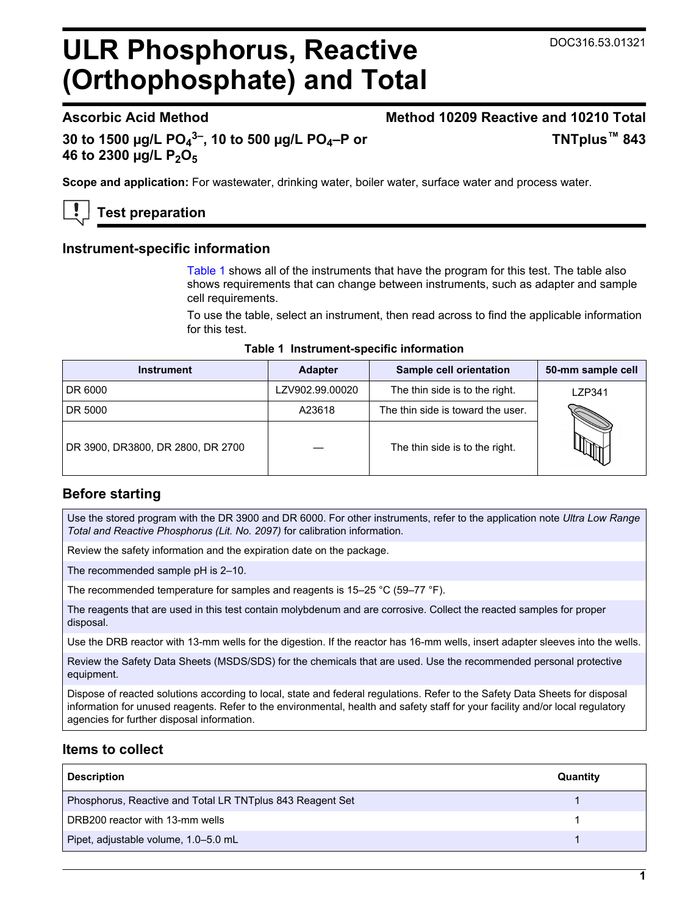# **ULR Phosphorus, Reactive (Orthophosphate) and Total**

## **Ascorbic Acid Method Method 10209 Reactive and 10210 Total TNTplus™ 843**

**30 to 1500 µg/L PO<sup>4</sup> 3–, 10 to 500 µg/L PO4–P or 46 to 2300 µg/L P2O<sup>5</sup>**

**Scope and application:** For wastewater, drinking water, boiler water, surface water and process water.

## **Test preparation**

## **Instrument-specific information**

[Table 1](#page-0-0) shows all of the instruments that have the program for this test. The table also shows requirements that can change between instruments, such as adapter and sample cell requirements.

To use the table, select an instrument, then read across to find the applicable information for this test.

#### **Table 1 Instrument-specific information**

<span id="page-0-1"></span><span id="page-0-0"></span>

| <b>Instrument</b>                 | <b>Adapter</b>  | Sample cell orientation           | 50-mm sample cell |
|-----------------------------------|-----------------|-----------------------------------|-------------------|
| DR 6000                           | LZV902.99.00020 | The thin side is to the right.    | LZP341            |
| DR 5000                           | A23618          | The thin side is toward the user. |                   |
| DR 3900, DR3800, DR 2800, DR 2700 |                 | The thin side is to the right.    |                   |

## **Before starting**

Use the stored program with the DR 3900 and DR 6000. For other instruments, refer to the application note *Ultra Low Range Total and Reactive Phosphorus (Lit. No. 2097)* for calibration information.

Review the safety information and the expiration date on the package.

The recommended sample pH is 2–10.

The recommended temperature for samples and reagents is 15–25 °C (59–77 °F).

The reagents that are used in this test contain molybdenum and are corrosive. Collect the reacted samples for proper disposal.

Use the DRB reactor with 13-mm wells for the digestion. If the reactor has 16-mm wells, insert adapter sleeves into the wells.

Review the Safety Data Sheets (MSDS/SDS) for the chemicals that are used. Use the recommended personal protective equipment.

Dispose of reacted solutions according to local, state and federal regulations. Refer to the Safety Data Sheets for disposal information for unused reagents. Refer to the environmental, health and safety staff for your facility and/or local regulatory agencies for further disposal information.

## **Items to collect**

| <b>Description</b>                                        | Quantity |
|-----------------------------------------------------------|----------|
| Phosphorus, Reactive and Total LR TNTplus 843 Reagent Set |          |
| DRB200 reactor with 13-mm wells                           |          |
| Pipet, adjustable volume, 1.0-5.0 mL                      |          |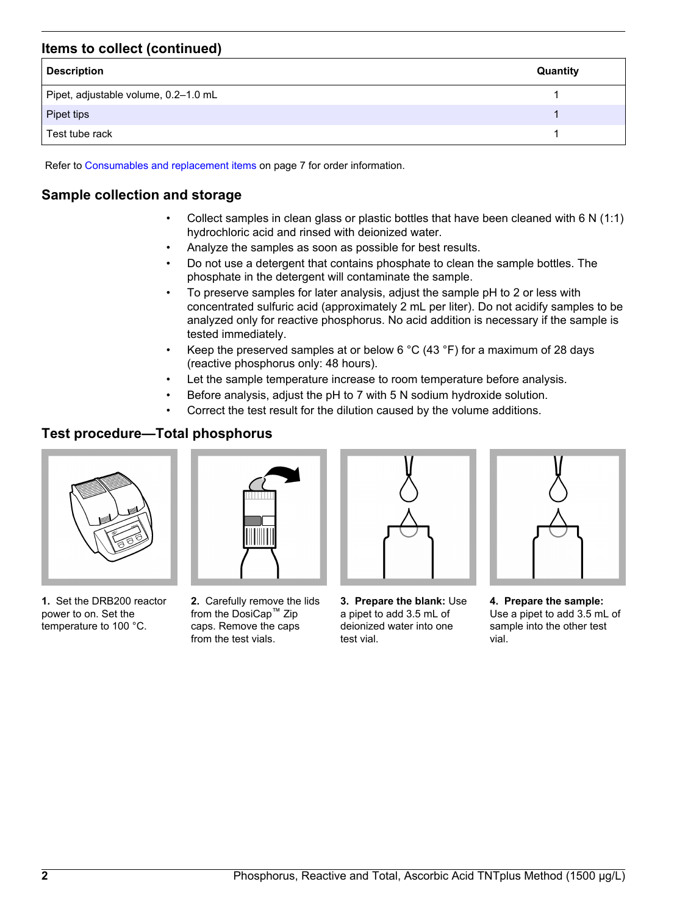## **Items to collect (continued)**

| <b>Description</b>                   | Quantity |
|--------------------------------------|----------|
| Pipet, adjustable volume, 0.2-1.0 mL |          |
| Pipet tips                           |          |
| Test tube rack                       |          |

Refer to [Consumables and replacement items](#page-6-0) on page 7 for order information.

## **Sample collection and storage**

- Collect samples in clean glass or plastic bottles that have been cleaned with 6 N (1:1) hydrochloric acid and rinsed with deionized water.
- Analyze the samples as soon as possible for best results.
- Do not use a detergent that contains phosphate to clean the sample bottles. The phosphate in the detergent will contaminate the sample.
- To preserve samples for later analysis, adjust the sample pH to 2 or less with concentrated sulfuric acid (approximately 2 mL per liter). Do not acidify samples to be analyzed only for reactive phosphorus. No acid addition is necessary if the sample is tested immediately.
- Keep the preserved samples at or below 6  $^{\circ}$ C (43  $^{\circ}$ F) for a maximum of 28 days (reactive phosphorus only: 48 hours).
- Let the sample temperature increase to room temperature before analysis.
- Before analysis, adjust the pH to 7 with 5 N sodium hydroxide solution.
- Correct the test result for the dilution caused by the volume additions.

## **Test procedure—Total phosphorus**



**1.** Set the DRB200 reactor power to on. Set the temperature to 100 °C.



**2.** Carefully remove the lids from the DosiCap™ Zip caps. Remove the caps from the test vials.



**3. Prepare the blank:** Use a pipet to add 3.5 mL of deionized water into one test vial.

**4. Prepare the sample:** Use a pipet to add 3.5 mL of sample into the other test vial.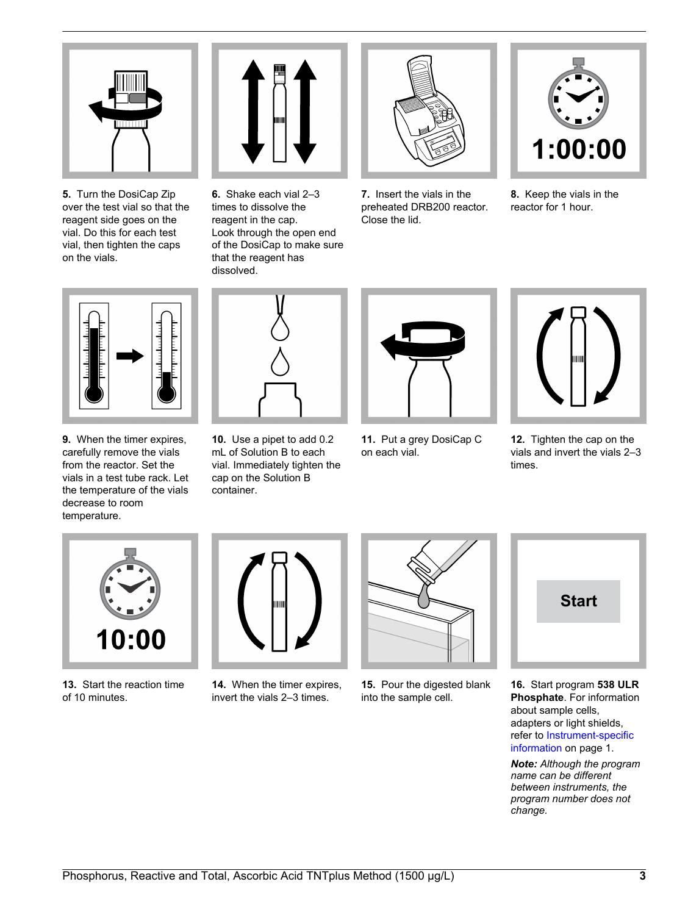

**5.** Turn the DosiCap Zip over the test vial so that the reagent side goes on the vial. Do this for each test vial, then tighten the caps on the vials.



**6.** Shake each vial 2–3 times to dissolve the reagent in the cap. Look through the open end of the DosiCap to make sure that the reagent has dissolved.



**7.** Insert the vials in the preheated DRB200 reactor. Close the lid.



**8.** Keep the vials in the reactor for 1 hour.



**9.** When the timer expires, carefully remove the vials from the reactor. Set the vials in a test tube rack. Let the temperature of the vials decrease to room temperature.



**10.** Use a pipet to add 0.2 mL of Solution B to each vial. Immediately tighten the cap on the Solution B container.



**11.** Put a grey DosiCap C on each vial.



**12.** Tighten the cap on the vials and invert the vials 2–3 times.



**13.** Start the reaction time of 10 minutes.



**14.** When the timer expires, invert the vials 2–3 times.



**15.** Pour the digested blank into the sample cell.



**16.** Start program **538 ULR Phosphate**. For information about sample cells, adapters or light shields, refer to [Instrument-specific](#page-0-1) [information](#page-0-1) on page 1.

*Note: Although the program name can be different between instruments, the program number does not change.*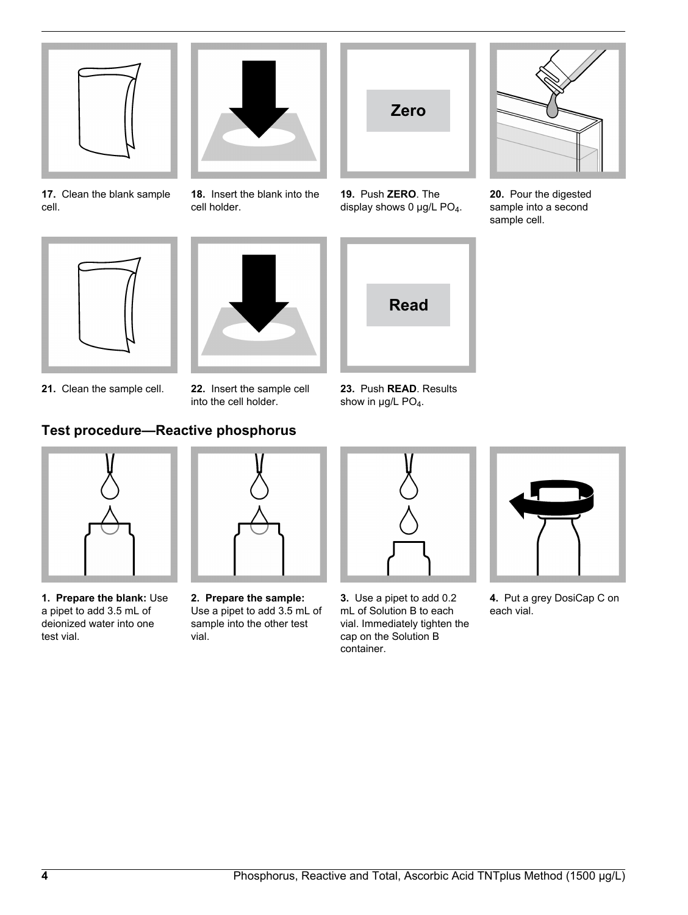

**17.** Clean the blank sample cell.



**18.** Insert the blank into the cell holder.



**19.** Push **ZERO**. The display shows 0  $\mu$ g/L PO<sub>4</sub>.



**20.** Pour the digested sample into a second sample cell.





**21.** Clean the sample cell. **22.** Insert the sample cell

into the cell holder.



**23.** Push **READ**. Results show in  $\mu$ g/L PO<sub>4</sub>.

## **Test procedure—Reactive phosphorus**



**1. Prepare the blank:** Use a pipet to add 3.5 mL of deionized water into one test vial.



**2. Prepare the sample:** Use a pipet to add 3.5 mL of sample into the other test vial.



**3.** Use a pipet to add 0.2 mL of Solution B to each vial. Immediately tighten the cap on the Solution B container.



**4.** Put a grey DosiCap C on each vial.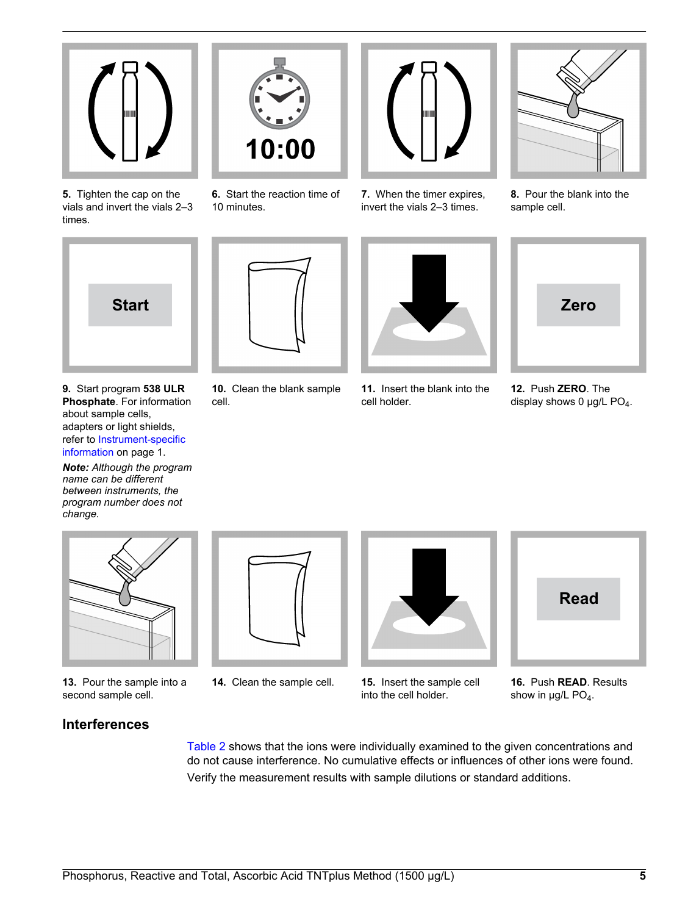

**5.** Tighten the cap on the vials and invert the vials 2–3 times.



**9.** Start program **538 ULR Phosphate**. For information about sample cells, adapters or light shields, refer to [Instrument-specific](#page-0-1) [information](#page-0-1) on page 1.

*Note: Although the program name can be different between instruments, the program number does not change.*



**6.** Start the reaction time of

10 minutes.



**7.** When the timer expires, invert the vials 2–3 times.



**11.** Insert the blank into the cell holder.



**8.** Pour the blank into the sample cell.



**12.** Push **ZERO**. The display shows 0  $\mu$ g/L PO<sub>4</sub>.



**13.** Pour the sample into a second sample cell.



**14.** Clean the sample cell. **15.** Insert the sample cell



into the cell holder.



**16.** Push **READ**. Results show in  $\mu$ g/L PO<sub>4</sub>.

## **Interferences**

[Table 2](#page-5-0) shows that the ions were individually examined to the given concentrations and do not cause interference. No cumulative effects or influences of other ions were found. Verify the measurement results with sample dilutions or standard additions.

**10.** Clean the blank sample cell.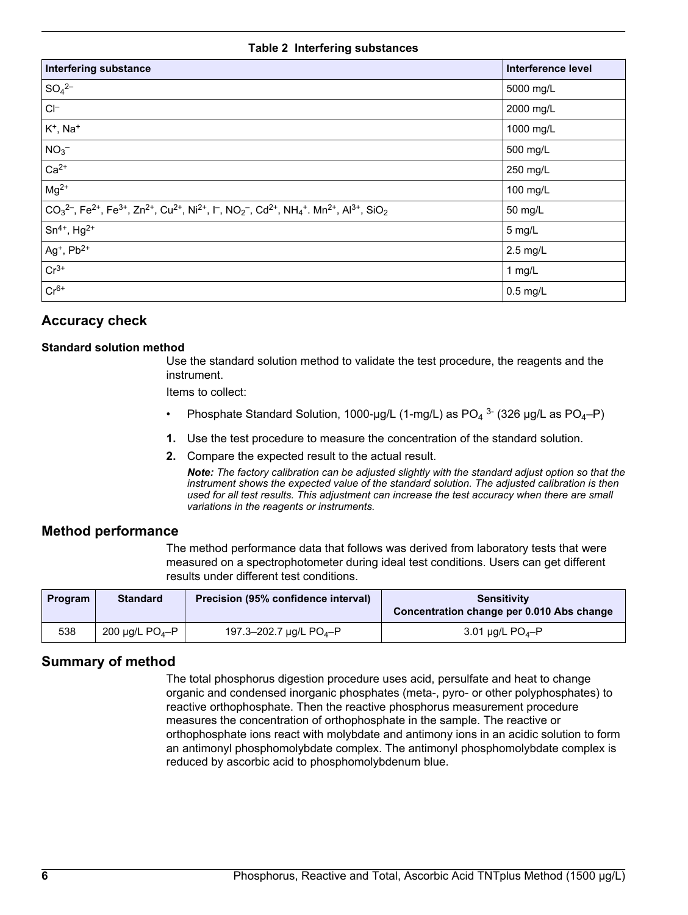#### **Table 2 Interfering substances**

<span id="page-5-0"></span>

| <b>Interfering substance</b>                                                                                                                                                                                                                                      | Interference level |
|-------------------------------------------------------------------------------------------------------------------------------------------------------------------------------------------------------------------------------------------------------------------|--------------------|
| $SO_4^{2-}$                                                                                                                                                                                                                                                       | 5000 mg/L          |
| $CI^-$                                                                                                                                                                                                                                                            | 2000 mg/L          |
| $K^+$ , Na <sup>+</sup>                                                                                                                                                                                                                                           | 1000 mg/L          |
| NO <sub>3</sub>                                                                                                                                                                                                                                                   | 500 mg/L           |
| $Ca2+$                                                                                                                                                                                                                                                            | 250 mg/L           |
| $Mg^{2+}$                                                                                                                                                                                                                                                         | 100 mg/L           |
| $CO32-$ , Fe <sup>2+</sup> , Fe <sup>3+</sup> , Zn <sup>2+</sup> , Cu <sup>2+</sup> , Ni <sup>2+</sup> , I <sup>-</sup> , NO <sub>2</sub> <sup>-</sup> , Cd <sup>2+</sup> , NH <sub>4</sub> <sup>+</sup> . Mn <sup>2+</sup> , Al <sup>3+</sup> , SiO <sub>2</sub> | 50 mg/L            |
| $Sn^{4+}$ , Hg <sup>2+</sup>                                                                                                                                                                                                                                      | 5 mg/L             |
| $Ag^+$ , $Pb^{2+}$                                                                                                                                                                                                                                                | 2.5 mg/L           |
| $Cr^{3+}$                                                                                                                                                                                                                                                         | $1$ mg/L           |
| $Cr6+$                                                                                                                                                                                                                                                            | $0.5$ mg/L         |

## **Accuracy check**

#### **Standard solution method**

Use the standard solution method to validate the test procedure, the reagents and the instrument.

Items to collect:

- Phosphate Standard Solution, 1000-µg/L (1-mg/L) as  $PO_4^3$  (326 µg/L as  $PO_4$ -P)
- **1.** Use the test procedure to measure the concentration of the standard solution.
- **2.** Compare the expected result to the actual result.

*Note: The factory calibration can be adjusted slightly with the standard adjust option so that the instrument shows the expected value of the standard solution. The adjusted calibration is then used for all test results. This adjustment can increase the test accuracy when there are small variations in the reagents or instruments.*

#### **Method performance**

The method performance data that follows was derived from laboratory tests that were measured on a spectrophotometer during ideal test conditions. Users can get different results under different test conditions.

| <b>Program</b> | <b>Standard</b>                  | Precision (95% confidence interval)      | <b>Sensitivity</b><br>Concentration change per 0.010 Abs change |
|----------------|----------------------------------|------------------------------------------|-----------------------------------------------------------------|
| 538            | 200 $\mu$ g/L PO <sub>4</sub> -P | 197.3-202.7 $\mu$ g/L PO <sub>4</sub> -P | 3.01 $\mu$ g/L PO <sub>4</sub> -P                               |

#### **Summary of method**

The total phosphorus digestion procedure uses acid, persulfate and heat to change organic and condensed inorganic phosphates (meta-, pyro- or other polyphosphates) to reactive orthophosphate. Then the reactive phosphorus measurement procedure measures the concentration of orthophosphate in the sample. The reactive or orthophosphate ions react with molybdate and antimony ions in an acidic solution to form an antimonyl phosphomolybdate complex. The antimonyl phosphomolybdate complex is reduced by ascorbic acid to phosphomolybdenum blue.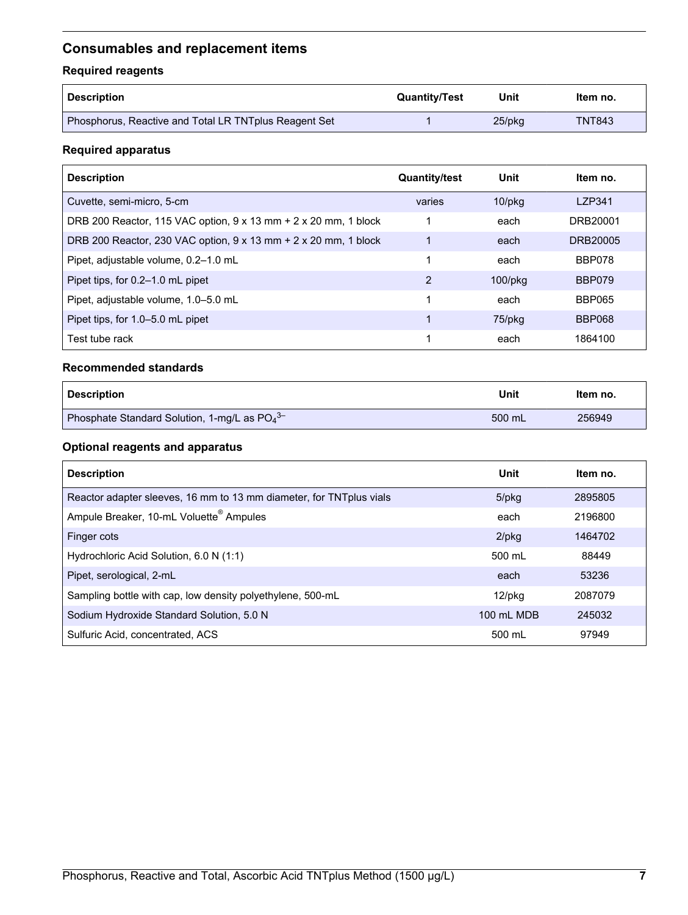## <span id="page-6-0"></span>**Consumables and replacement items**

## **Required reagents**

| Description                                           | <b>Quantity/Test</b> | Unit      | ltem no.      |
|-------------------------------------------------------|----------------------|-----------|---------------|
| Phosphorus, Reactive and Total LR TNTplus Reagent Set |                      | $25$ /pkq | <b>TNT843</b> |

## **Required apparatus**

| <b>Description</b>                                              | <b>Quantity/test</b> | Unit          | Item no.      |
|-----------------------------------------------------------------|----------------------|---------------|---------------|
| Cuvette, semi-micro, 5-cm                                       | varies               | $10$ /p $kg$  | LZP341        |
| DRB 200 Reactor, 115 VAC option, 9 x 13 mm + 2 x 20 mm, 1 block |                      | each          | DRB20001      |
| DRB 200 Reactor, 230 VAC option, 9 x 13 mm + 2 x 20 mm, 1 block | 1                    | each          | DRB20005      |
| Pipet, adjustable volume, 0.2-1.0 mL                            | 1                    | each          | BBP078        |
| Pipet tips, for 0.2–1.0 mL pipet                                | 2                    | $100$ /p $kg$ | BBP079        |
| Pipet, adjustable volume, 1.0-5.0 mL                            |                      | each          | <b>BBP065</b> |
| Pipet tips, for 1.0–5.0 mL pipet                                |                      | 75/pkg        | <b>BBP068</b> |
| Test tube rack                                                  | 1                    | each          | 1864100       |

#### **Recommended standards**

| <b>Description</b>                            | Unit   | ltem no. |
|-----------------------------------------------|--------|----------|
| Phosphate Standard Solution, 1-mg/L as $PO43$ | 500 mL | 256949   |

## **Optional reagents and apparatus**

| <b>Description</b>                                                   | Unit         | Item no. |
|----------------------------------------------------------------------|--------------|----------|
| Reactor adapter sleeves, 16 mm to 13 mm diameter, for TNT plus vials | $5$ /p $kg$  | 2895805  |
| Ampule Breaker, 10-mL Voluette <sup>®</sup> Ampules                  | each         | 2196800  |
| Finger cots                                                          | $2$ /pkg     | 1464702  |
| Hydrochloric Acid Solution, 6.0 N (1:1)                              | 500 mL       | 88449    |
| Pipet, serological, 2-mL                                             | each         | 53236    |
| Sampling bottle with cap, low density polyethylene, 500-mL           | $12$ /p $kg$ | 2087079  |
| Sodium Hydroxide Standard Solution, 5.0 N                            | 100 mL MDB   | 245032   |
| Sulfuric Acid, concentrated, ACS                                     | 500 mL       | 97949    |